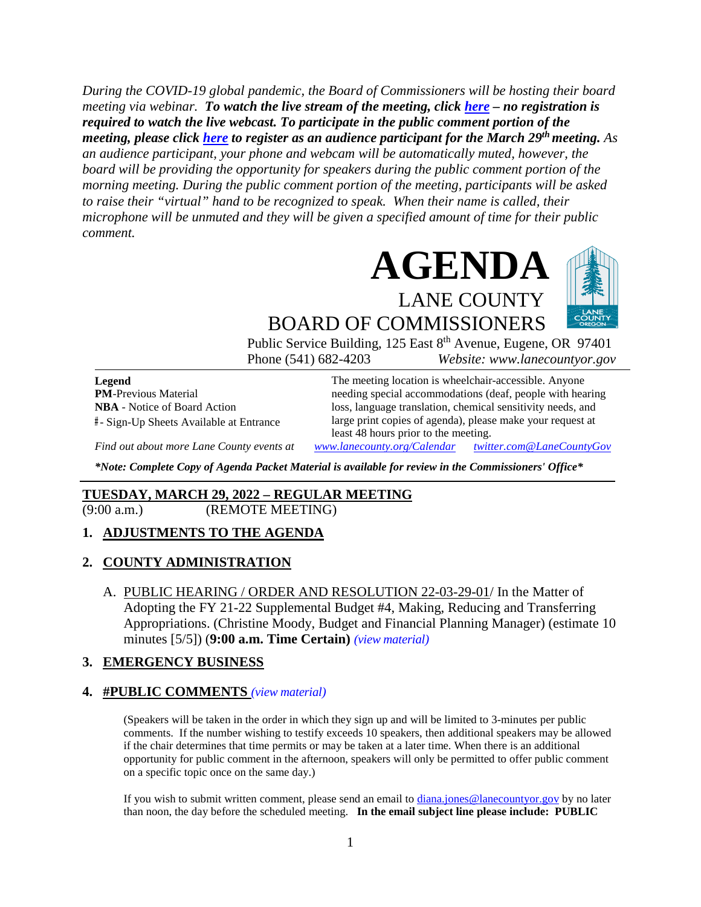*During the COVID-19 global pandemic, the Board of Commissioners will be hosting their board meeting via webinar. To watch the live stream of the meeting, click [here](https://lanecounty.org/cms/One.aspx?portalId=3585881&pageId=7842434) – no registration is required to watch the live webcast. To participate in the public comment portion of the meeting, please click [here](https://us06web.zoom.us/webinar/register/WN_QZMxNglQTJChMlfmQUs2Qw) to register as an audience participant for the March 29th meeting. As an audience participant, your phone and webcam will be automatically muted, however, the board will be providing the opportunity for speakers during the public comment portion of the morning meeting. During the public comment portion of the meeting, participants will be asked to raise their "virtual" hand to be recognized to speak. When their name is called, their microphone will be unmuted and they will be given a specified amount of time for their public comment.* 



Public Service Building, 125 East 8<sup>th</sup> Avenue, Eugene, OR 97401 Phone (541) 682-4203 *Website: www.lanecountyor.gov*

**Legend PM**-Previous Material **NBA** - Notice of Board Action **#** - Sign-Up Sheets Available at Entrance

The meeting location is wheelchair-accessible. Anyone needing special accommodations (deaf, people with hearing loss, language translation, chemical sensitivity needs, and large print copies of agenda), please make your request at least 48 hours prior to the meeting.

*Find out about more Lane County events at [www.lanecounty.org/Calendar](http://www.lanecounty.org/Calendar) [twitter.com@LaneCountyGov](https://twitter.com/lanecountygov?lang=en)*

*\*Note: Complete Copy of Agenda Packet Material is available for review in the Commissioners' Office\**

### **TUESDAY, MARCH 29, 2022 – REGULAR MEETING**

(9:00 a.m.) (REMOTE MEETING)

### **1. ADJUSTMENTS TO THE AGENDA**

### **2. COUNTY ADMINISTRATION**

A. PUBLIC HEARING / ORDER AND RESOLUTION 22-03-29-01/ In the Matter of Adopting the FY 21-22 Supplemental Budget #4, Making, Reducing and Transferring Appropriations. (Christine Moody, Budget and Financial Planning Manager) (estimate 10 minutes [5/5]) (**9:00 a.m. Time Certain)** *(view [material\)](http://www.lanecountyor.gov/UserFiles/Servers/Server_3585797/File/Government/BCC/2022/2022_AGENDAS/032922agenda/T.2.A.pdf)*

### **3. EMERGENCY BUSINESS**

#### **4. #PUBLIC COMMENTS** *(view [material\)](http://www.lanecountyor.gov/UserFiles/Servers/Server_3585797/File/Government/BCC/2022/2022_AGENDAS/032922agenda/T.4.pdf)*

(Speakers will be taken in the order in which they sign up and will be limited to 3-minutes per public comments. If the number wishing to testify exceeds 10 speakers, then additional speakers may be allowed if the chair determines that time permits or may be taken at a later time. When there is an additional opportunity for public comment in the afternoon, speakers will only be permitted to offer public comment on a specific topic once on the same day.)

If you wish to submit written comment, please send an email to [diana.jones@lanecountyor.gov](mailto:diana.jones@lanecountyor.gov) by no later than noon, the day before the scheduled meeting. **In the email subject line please include: PUBLIC**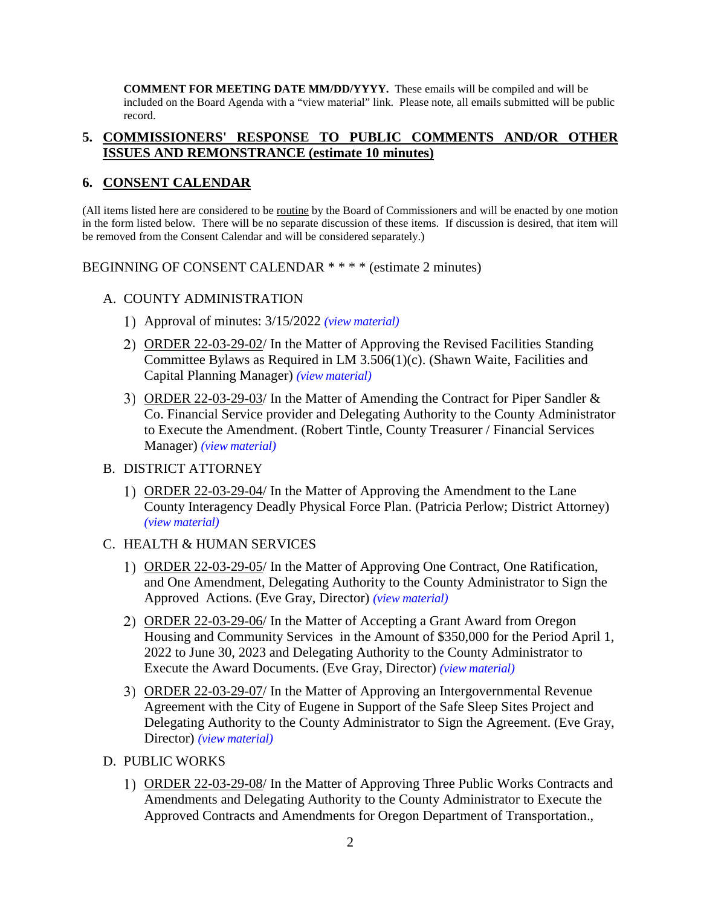**COMMENT FOR MEETING DATE MM/DD/YYYY.** These emails will be compiled and will be included on the Board Agenda with a "view material" link. Please note, all emails submitted will be public record.

### **5. COMMISSIONERS' RESPONSE TO PUBLIC COMMENTS AND/OR OTHER ISSUES AND REMONSTRANCE (estimate 10 minutes)**

## **6. CONSENT CALENDAR**

(All items listed here are considered to be routine by the Board of Commissioners and will be enacted by one motion in the form listed below. There will be no separate discussion of these items. If discussion is desired, that item will be removed from the Consent Calendar and will be considered separately.)

BEGINNING OF CONSENT CALENDAR \* \* \* \* (estimate 2 minutes)

## A. COUNTY ADMINISTRATION

- Approval of minutes: 3/15/2022 *(view [material\)](http://www.lanecountyor.gov/UserFiles/Servers/Server_3585797/File/Government/BCC/2022/2022_AGENDAS/032922agenda/T.6.A.1.pdf)*
- 2) ORDER 22-03-29-02/ In the Matter of Approving the Revised Facilities Standing Committee Bylaws as Required in LM 3.506(1)(c). (Shawn Waite, Facilities and Capital Planning Manager) *(view [material\)](http://www.lanecountyor.gov/UserFiles/Servers/Server_3585797/File/Government/BCC/2022/2022_AGENDAS/032922agenda/T.6.A.2.pdf)*
- ORDER 22-03-29-03/ In the Matter of Amending the Contract for Piper Sandler & Co. Financial Service provider and Delegating Authority to the County Administrator to Execute the Amendment. (Robert Tintle, County Treasurer / Financial Services Manager) *(view [material\)](http://www.lanecountyor.gov/UserFiles/Servers/Server_3585797/File/Government/BCC/2022/2022_AGENDAS/032922agenda/T.6.A.3.pdf)*

### B. DISTRICT ATTORNEY

ORDER 22-03-29-04/ In the Matter of Approving the Amendment to the Lane County Interagency Deadly Physical Force Plan. (Patricia Perlow; District Attorney) *(view [material\)](http://www.lanecountyor.gov/UserFiles/Servers/Server_3585797/File/Government/BCC/2022/2022_AGENDAS/032922agenda/T.6.B.1.pdf)*

## C. HEALTH & HUMAN SERVICES

- 1) ORDER 22-03-29-05/ In the Matter of Approving One Contract, One Ratification, and One Amendment, Delegating Authority to the County Administrator to Sign the Approved Actions. (Eve Gray, Director) *(view [material\)](http://www.lanecountyor.gov/UserFiles/Servers/Server_3585797/File/Government/BCC/2022/2022_AGENDAS/032922agenda/T.6.C.1.pdf)*
- ORDER 22-03-29-06/ In the Matter of Accepting a Grant Award from Oregon Housing and Community Services in the Amount of \$350,000 for the Period April 1, 2022 to June 30, 2023 and Delegating Authority to the County Administrator to Execute the Award Documents. (Eve Gray, Director) *(view [material\)](http://www.lanecountyor.gov/UserFiles/Servers/Server_3585797/File/Government/BCC/2022/2022_AGENDAS/032922agenda/T.6.C.2.pdf)*
- 3) ORDER 22-03-29-07/ In the Matter of Approving an Intergovernmental Revenue Agreement with the City of Eugene in Support of the Safe Sleep Sites Project and Delegating Authority to the County Administrator to Sign the Agreement. (Eve Gray, Director) *(view [material\)](http://www.lanecountyor.gov/UserFiles/Servers/Server_3585797/File/Government/BCC/2022/2022_AGENDAS/032922agenda/T.6.C.3.pdf)*
- D. PUBLIC WORKS
	- 1) ORDER 22-03-29-08/ In the Matter of Approving Three Public Works Contracts and Amendments and Delegating Authority to the County Administrator to Execute the Approved Contracts and Amendments for Oregon Department of Transportation.,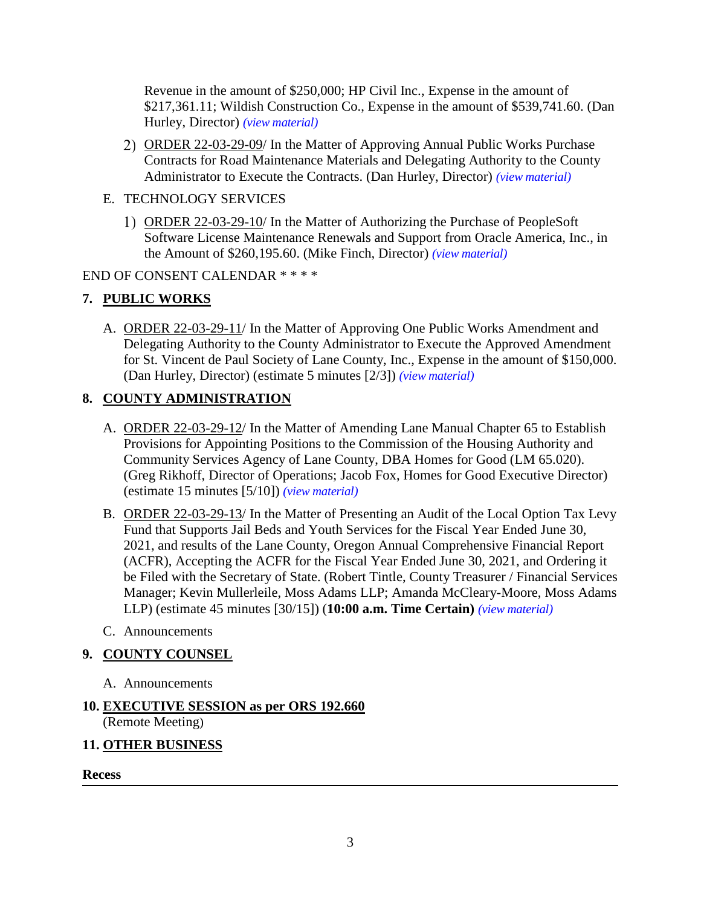Revenue in the amount of \$250,000; HP Civil Inc., Expense in the amount of \$217,361.11; Wildish Construction Co., Expense in the amount of \$539,741.60. (Dan Hurley, Director) *(view [material\)](http://www.lanecountyor.gov/UserFiles/Servers/Server_3585797/File/Government/BCC/2022/2022_AGENDAS/032922agenda/T.6.D.1.pdf)*

- ORDER 22-03-29-09/ In the Matter of Approving Annual Public Works Purchase Contracts for Road Maintenance Materials and Delegating Authority to the County Administrator to Execute the Contracts. (Dan Hurley, Director) *(view [material\)](http://www.lanecountyor.gov/UserFiles/Servers/Server_3585797/File/Government/BCC/2022/2022_AGENDAS/032922agenda/T.6.D.2.pdf)*
- E. TECHNOLOGY SERVICES
	- ORDER 22-03-29-10/ In the Matter of Authorizing the Purchase of PeopleSoft Software License Maintenance Renewals and Support from Oracle America, Inc., in the Amount of \$260,195.60. (Mike Finch, Director) *(view [material\)](http://www.lanecountyor.gov/UserFiles/Servers/Server_3585797/File/Government/BCC/2022/2022_AGENDAS/032922agenda/T.6.E.1.pdf)*

## END OF CONSENT CALENDAR \* \* \* \*

# **7. PUBLIC WORKS**

A. ORDER 22-03-29-11/ In the Matter of Approving One Public Works Amendment and Delegating Authority to the County Administrator to Execute the Approved Amendment for St. Vincent de Paul Society of Lane County, Inc., Expense in the amount of \$150,000. (Dan Hurley, Director) (estimate 5 minutes [2/3]) *(view [material\)](http://www.lanecountyor.gov/UserFiles/Servers/Server_3585797/File/Government/BCC/2022/2022_AGENDAS/032922agenda/T.7.A.pdf)*

# **8. COUNTY ADMINISTRATION**

- A. ORDER 22-03-29-12/ In the Matter of Amending Lane Manual Chapter 65 to Establish Provisions for Appointing Positions to the Commission of the Housing Authority and Community Services Agency of Lane County, DBA Homes for Good (LM 65.020). (Greg Rikhoff, Director of Operations; Jacob Fox, Homes for Good Executive Director) (estimate 15 minutes [5/10]) *(view [material\)](http://www.lanecountyor.gov/UserFiles/Servers/Server_3585797/File/Government/BCC/2022/2022_AGENDAS/032922agenda/T.8.A.pdf)*
- B. ORDER 22-03-29-13/ In the Matter of Presenting an Audit of the Local Option Tax Levy Fund that Supports Jail Beds and Youth Services for the Fiscal Year Ended June 30, 2021, and results of the Lane County, Oregon Annual Comprehensive Financial Report (ACFR), Accepting the ACFR for the Fiscal Year Ended June 30, 2021, and Ordering it be Filed with the Secretary of State. (Robert Tintle, County Treasurer / Financial Services Manager; Kevin Mullerleile, Moss Adams LLP; Amanda McCleary-Moore, Moss Adams LLP) (estimate 45 minutes [30/15]) (**10:00 a.m. Time Certain)** *(view [material\)](http://www.lanecountyor.gov/UserFiles/Servers/Server_3585797/File/Government/BCC/2022/2022_AGENDAS/032922agenda/T.8.B.pdf)*
- C. Announcements

# **9. COUNTY COUNSEL**

A. Announcements

# **10. EXECUTIVE SESSION as per ORS 192.660**

(Remote Meeting)

# **11. OTHER BUSINESS**

**Recess**